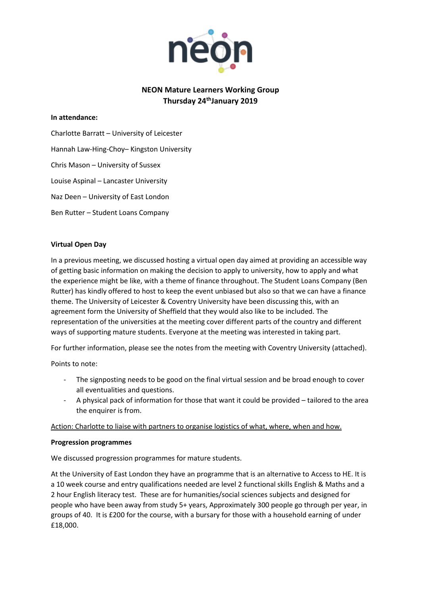

# **NEON Mature Learners Working Group Thursday 24thJanuary 2019**

### **In attendance:**

Charlotte Barratt – University of Leicester Hannah Law-Hing-Choy– Kingston University Chris Mason – University of Sussex Louise Aspinal – Lancaster University Naz Deen – University of East London Ben Rutter – Student Loans Company

## **Virtual Open Day**

In a previous meeting, we discussed hosting a virtual open day aimed at providing an accessible way of getting basic information on making the decision to apply to university, how to apply and what the experience might be like, with a theme of finance throughout. The Student Loans Company (Ben Rutter) has kindly offered to host to keep the event unbiased but also so that we can have a finance theme. The University of Leicester & Coventry University have been discussing this, with an agreement form the University of Sheffield that they would also like to be included. The representation of the universities at the meeting cover different parts of the country and different ways of supporting mature students. Everyone at the meeting was interested in taking part.

For further information, please see the notes from the meeting with Coventry University (attached).

Points to note:

- The signposting needs to be good on the final virtual session and be broad enough to cover all eventualities and questions.
- A physical pack of information for those that want it could be provided tailored to the area the enquirer is from.

Action: Charlotte to liaise with partners to organise logistics of what, where, when and how.

#### **Progression programmes**

We discussed progression programmes for mature students.

At the University of East London they have an programme that is an alternative to Access to HE. It is a 10 week course and entry qualifications needed are level 2 functional skills English & Maths and a 2 hour English literacy test. These are for humanities/social sciences subjects and designed for people who have been away from study 5+ years, Approximately 300 people go through per year, in groups of 40. It is £200 for the course, with a bursary for those with a household earning of under £18,000.